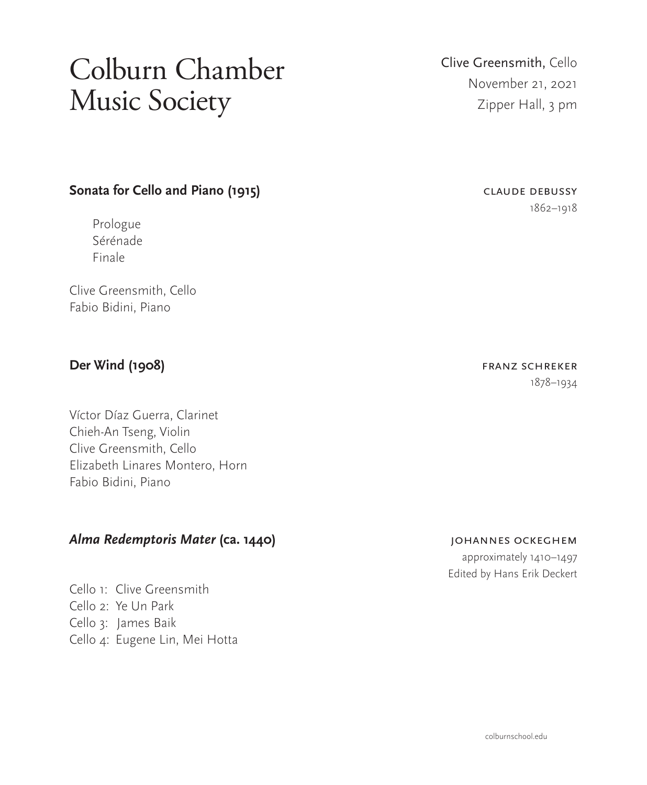# Colburn Chamber Music Society

#### **Sonata for Cello and Piano (1915)** CLAUDE DEBUSSY

Prologue Sérénade Finale

Clive Greensmith, Cello Fabio Bidini, Piano

### **Der Wind (1908) Der Wind (1908)**

Víctor Díaz Guerra, Clarinet Chieh-An Tseng, Violin Clive Greensmith, Cello Elizabeth Linares Montero, Horn Fabio Bidini, Piano

### *Alma Redemptoris Mater* **(ca. 1440)** johannes ockeghem

Cello 1: Clive Greensmith Cello 2: Ye Un Park Cello 3: James Baik Cello 4: Eugene Lin, Mei Hotta

## Clive Greensmith, Cello November 21, 2021 Zipper Hall, 3 pm

# 1862–1918

1878–1934

 approximately 1410–1497 Edited by Hans Erik Deckert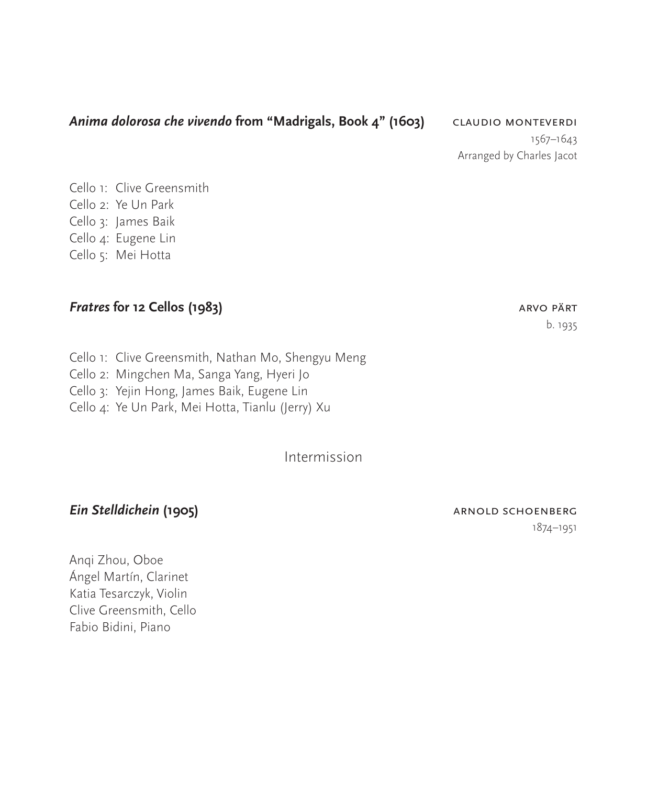#### *Anima dolorosa che vivendo* **from "Madrigals, Book 4" (1603)** claudio monteverdi

1567–1643 Arranged by Charles Jacot

Cello 1: Clive Greensmith Cello 2: Ye Un Park Cello 3: James Baik Cello 4: Eugene Lin Cello 5: Mei Hotta

#### *Fratres* **for 12 Cellos (1983) arrows are all the set of the set of the set of the set of the set of the set of the set of the set of the set of the set of the set of the set of the set of the set of the set of the set**

Cello 1: Clive Greensmith, Nathan Mo, Shengyu Meng Cello 2: Mingchen Ma, Sanga Yang, Hyeri Jo Cello 3: Yejin Hong, James Baik, Eugene Lin Cello 4: Ye Un Park, Mei Hotta, Tianlu (Jerry) Xu

Intermission

#### *Ein Stelldichein (1905)* **arnold schoenberg**

1874–1951

Anqi Zhou, Oboe Ángel Martín, Clarinet Katia Tesarczyk, Violin Clive Greensmith, Cello Fabio Bidini, Piano

# b. 1935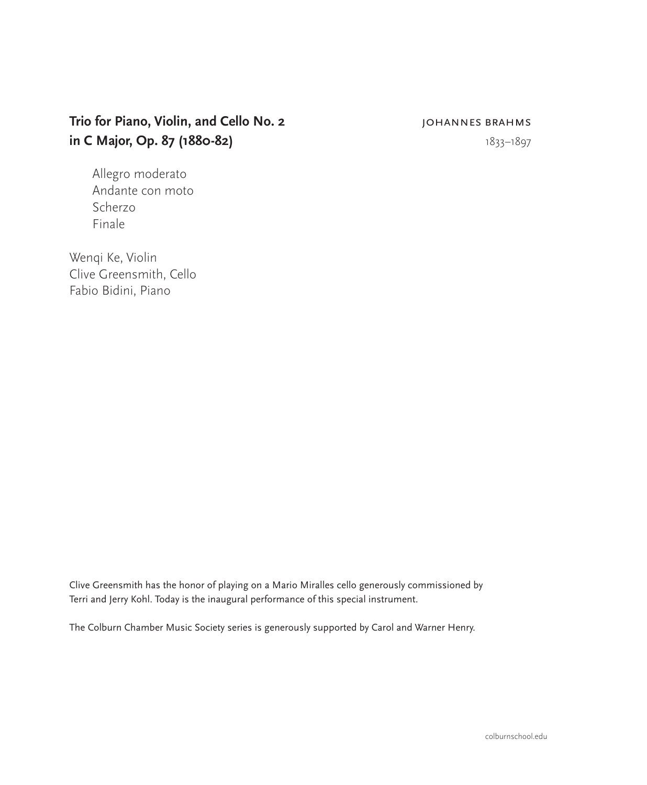### **Trio for Piano, Violin, and Cello No. 2 JOHANNES BRAHMS in C Major, Op. 87 (1880-82)** 1833–1897

Allegro moderato Andante con moto Scherzo Finale

Wenqi Ke, Violin Clive Greensmith, Cello Fabio Bidini, Piano

Clive Greensmith has the honor of playing on a Mario Miralles cello generously commissioned by Terri and Jerry Kohl. Today is the inaugural performance of this special instrument.

The Colburn Chamber Music Society series is generously supported by Carol and Warner Henry.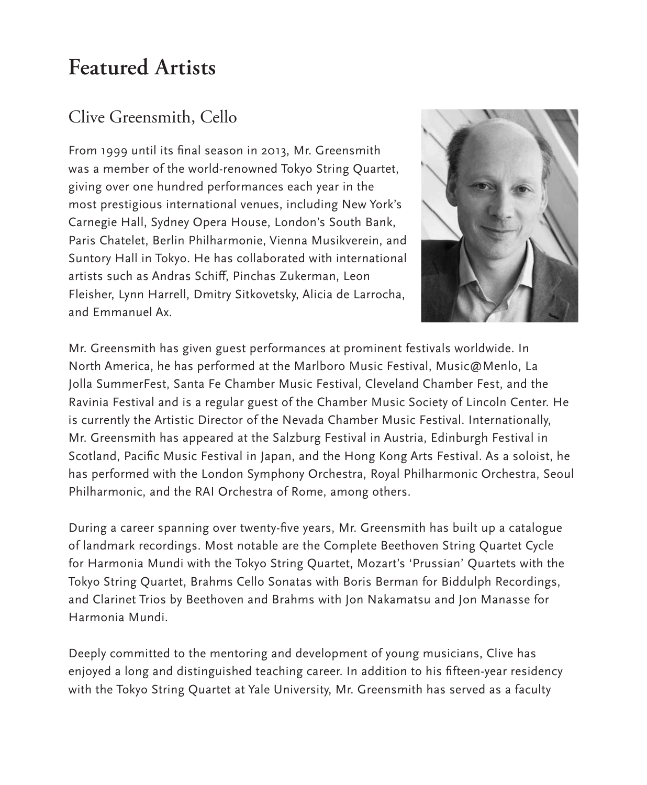## **Featured Artists**

## Clive Greensmith, Cello

From 1999 until its final season in 2013, Mr. Greensmith was a member of the world-renowned Tokyo String Quartet, giving over one hundred performances each year in the most prestigious international venues, including New York's Carnegie Hall, Sydney Opera House, London's South Bank, Paris Chatelet, Berlin Philharmonie, Vienna Musikverein, and Suntory Hall in Tokyo. He has collaborated with international artists such as Andras Schiff, Pinchas Zukerman, Leon Fleisher, Lynn Harrell, Dmitry Sitkovetsky, Alicia de Larrocha, and Emmanuel Ax.



Mr. Greensmith has given guest performances at prominent festivals worldwide. In North America, he has performed at the Marlboro Music Festival, Music@Menlo, La Jolla SummerFest, Santa Fe Chamber Music Festival, Cleveland Chamber Fest, and the Ravinia Festival and is a regular guest of the Chamber Music Society of Lincoln Center. He is currently the Artistic Director of the Nevada Chamber Music Festival. Internationally, Mr. Greensmith has appeared at the Salzburg Festival in Austria, Edinburgh Festival in Scotland, Pacific Music Festival in Japan, and the Hong Kong Arts Festival. As a soloist, he has performed with the London Symphony Orchestra, Royal Philharmonic Orchestra, Seoul Philharmonic, and the RAI Orchestra of Rome, among others.

During a career spanning over twenty-five years, Mr. Greensmith has built up a catalogue of landmark recordings. Most notable are the Complete Beethoven String Quartet Cycle for Harmonia Mundi with the Tokyo String Quartet, Mozart's 'Prussian' Quartets with the Tokyo String Quartet, Brahms Cello Sonatas with Boris Berman for Biddulph Recordings, and Clarinet Trios by Beethoven and Brahms with Jon Nakamatsu and Jon Manasse for Harmonia Mundi.

Deeply committed to the mentoring and development of young musicians, Clive has enjoyed a long and distinguished teaching career. In addition to his fifteen-year residency with the Tokyo String Quartet at Yale University, Mr. Greensmith has served as a faculty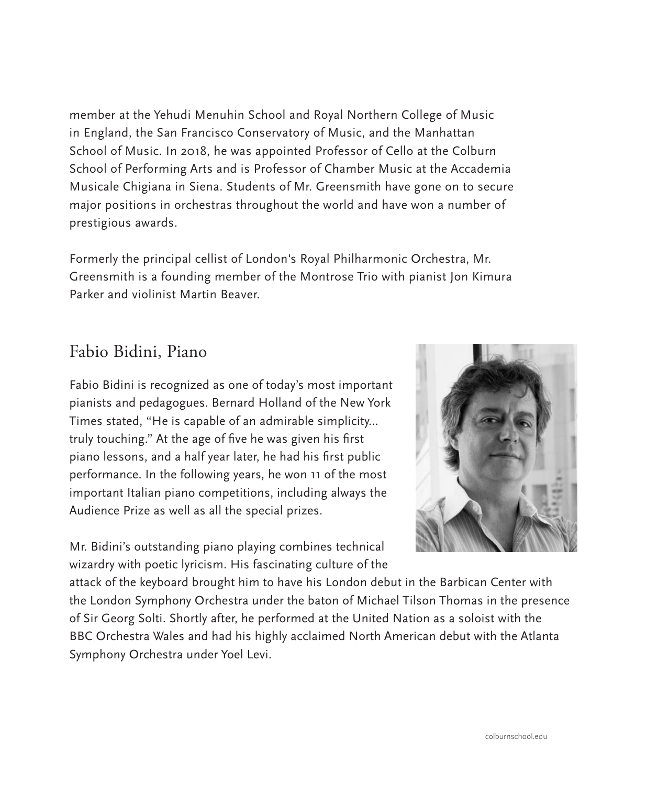member at the Yehudi Menuhin School and Royal Northern College of Music in England, the San Francisco Conservatory of Music, and the Manhattan School of Music. In 2018, he was appointed Professor of Cello at the Colburn School of Performing Arts and is Professor of Chamber Music at the Accademia Musicale Chigiana in Siena. Students of Mr. Greensmith have gone on to secure major positions in orchestras throughout the world and have won a number of prestigious awards.

Formerly the principal cellist of London's Royal Philharmonic Orchestra, Mr. Greensmith is a founding member of the Montrose Trio with pianist Jon Kimura Parker and violinist Martin Beaver.

## Fabio Bidini, Piano

Fabio Bidini is recognized as one of today's most important pianists and pedagogues. Bernard Holland of the New York Times stated, "He is capable of an admirable simplicity… truly touching." At the age of five he was given his first piano lessons, and a half year later, he had his first public performance. In the following years, he won 11 of the most important Italian piano competitions, including always the Audience Prize as well as all the special prizes.

Mr. Bidini's outstanding piano playing combines technical wizardry with poetic lyricism. His fascinating culture of the



attack of the keyboard brought him to have his London debut in the Barbican Center with the London Symphony Orchestra under the baton of Michael Tilson Thomas in the presence of Sir Georg Solti. Shortly after, he performed at the United Nation as a soloist with the BBC Orchestra Wales and had his highly acclaimed North American debut with the Atlanta Symphony Orchestra under Yoel Levi.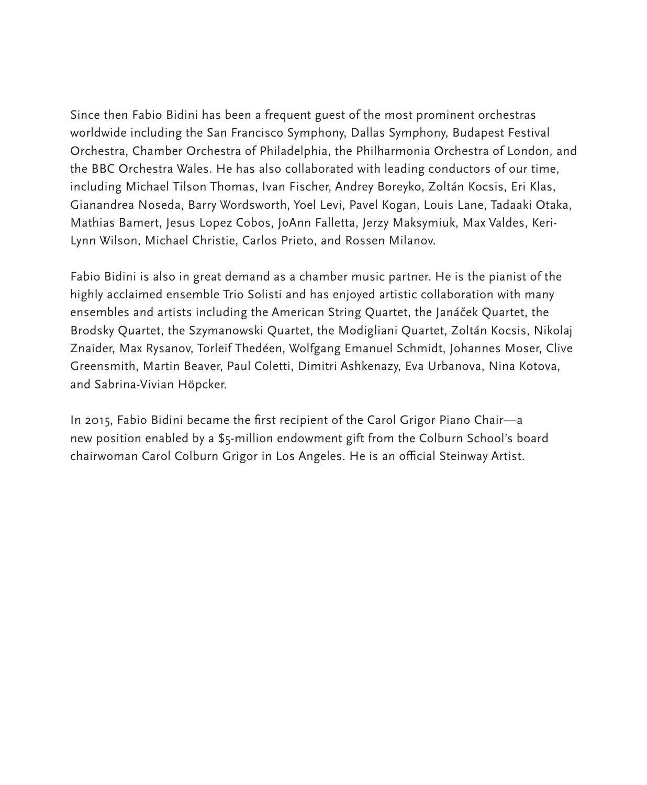Since then Fabio Bidini has been a frequent guest of the most prominent orchestras worldwide including the San Francisco Symphony, Dallas Symphony, Budapest Festival Orchestra, Chamber Orchestra of Philadelphia, the Philharmonia Orchestra of London, and the BBC Orchestra Wales. He has also collaborated with leading conductors of our time, including Michael Tilson Thomas, Ivan Fischer, Andrey Boreyko, Zoltán Kocsis, Eri Klas, Gianandrea Noseda, Barry Wordsworth, Yoel Levi, Pavel Kogan, Louis Lane, Tadaaki Otaka, Mathias Bamert, Jesus Lopez Cobos, JoAnn Falletta, Jerzy Maksymiuk, Max Valdes, Keri-Lynn Wilson, Michael Christie, Carlos Prieto, and Rossen Milanov.

Fabio Bidini is also in great demand as a chamber music partner. He is the pianist of the highly acclaimed ensemble Trio Solisti and has enjoyed artistic collaboration with many ensembles and artists including the American String Quartet, the Janáček Quartet, the Brodsky Quartet, the Szymanowski Quartet, the Modigliani Quartet, Zoltán Kocsis, Nikolaj Znaider, Max Rysanov, Torleif Thedéen, Wolfgang Emanuel Schmidt, Johannes Moser, Clive Greensmith, Martin Beaver, Paul Coletti, Dimitri Ashkenazy, Eva Urbanova, Nina Kotova, and Sabrina-Vivian Höpcker.

In 2015, Fabio Bidini became the first recipient of the Carol Grigor Piano Chair—a new position enabled by a \$5-million endowment gift from the Colburn School's board chairwoman Carol Colburn Grigor in Los Angeles. He is an official Steinway Artist.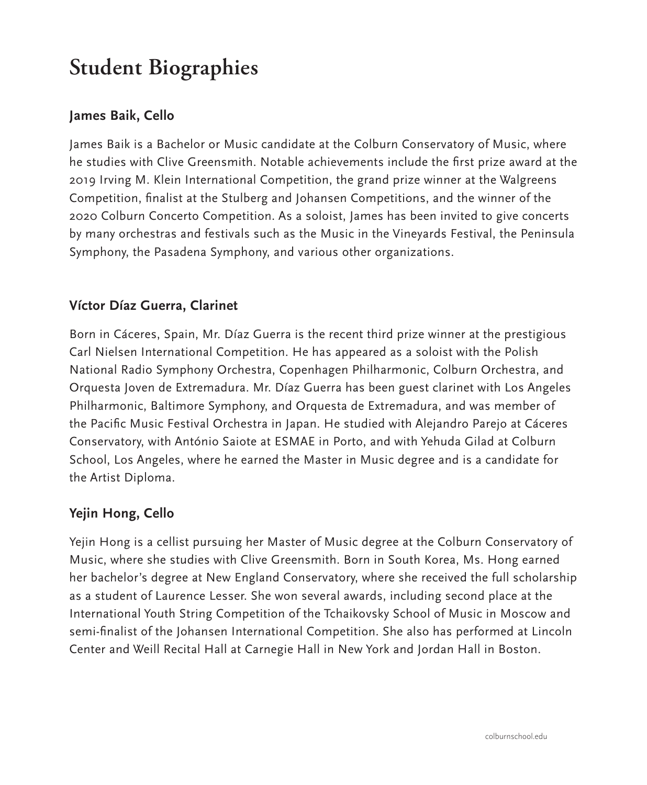# **Student Biographies**

#### **James Baik, Cello**

James Baik is a Bachelor or Music candidate at the Colburn Conservatory of Music, where he studies with Clive Greensmith. Notable achievements include the first prize award at the 2019 Irving M. Klein International Competition, the grand prize winner at the Walgreens Competition, finalist at the Stulberg and Johansen Competitions, and the winner of the 2020 Colburn Concerto Competition. As a soloist, James has been invited to give concerts by many orchestras and festivals such as the Music in the Vineyards Festival, the Peninsula Symphony, the Pasadena Symphony, and various other organizations.

#### **Víctor Díaz Guerra, Clarinet**

Born in Cáceres, Spain, Mr. Díaz Guerra is the recent third prize winner at the prestigious Carl Nielsen International Competition. He has appeared as a soloist with the Polish National Radio Symphony Orchestra, Copenhagen Philharmonic, Colburn Orchestra, and Orquesta Joven de Extremadura. Mr. Díaz Guerra has been guest clarinet with Los Angeles Philharmonic, Baltimore Symphony, and Orquesta de Extremadura, and was member of the Pacific Music Festival Orchestra in Japan. He studied with Alejandro Parejo at Cáceres Conservatory, with António Saiote at ESMAE in Porto, and with Yehuda Gilad at Colburn School, Los Angeles, where he earned the Master in Music degree and is a candidate for the Artist Diploma.

#### **Yejin Hong, Cello**

Yejin Hong is a cellist pursuing her Master of Music degree at the Colburn Conservatory of Music, where she studies with Clive Greensmith. Born in South Korea, Ms. Hong earned her bachelor's degree at New England Conservatory, where she received the full scholarship as a student of Laurence Lesser. She won several awards, including second place at the International Youth String Competition of the Tchaikovsky School of Music in Moscow and semi-finalist of the Johansen International Competition. She also has performed at Lincoln Center and Weill Recital Hall at Carnegie Hall in New York and Jordan Hall in Boston.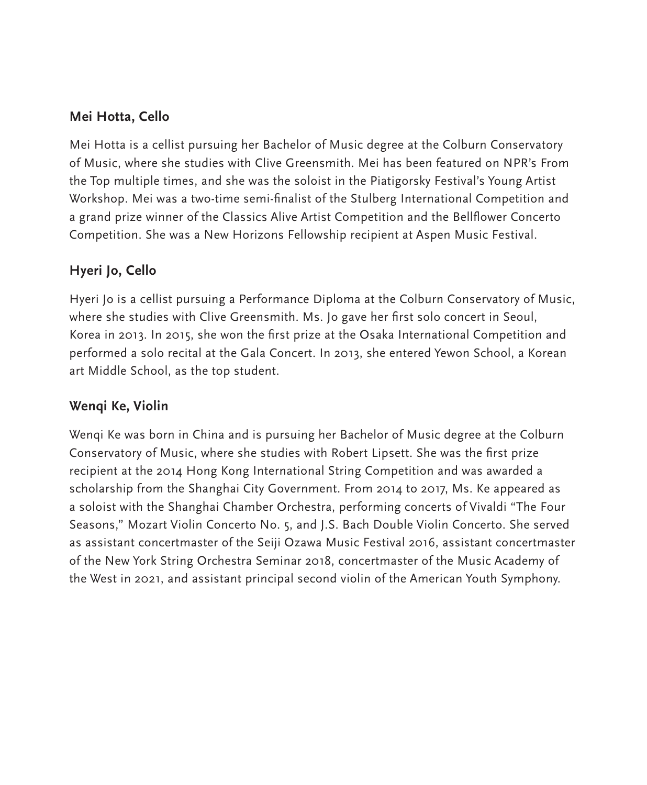#### **Mei Hotta, Cello**

Mei Hotta is a cellist pursuing her Bachelor of Music degree at the Colburn Conservatory of Music, where she studies with Clive Greensmith. Mei has been featured on NPR's From the Top multiple times, and she was the soloist in the Piatigorsky Festival's Young Artist Workshop. Mei was a two-time semi-finalist of the Stulberg International Competition and a grand prize winner of the Classics Alive Artist Competition and the Bellflower Concerto Competition. She was a New Horizons Fellowship recipient at Aspen Music Festival.

#### **Hyeri Jo, Cello**

Hyeri Jo is a cellist pursuing a Performance Diploma at the Colburn Conservatory of Music, where she studies with Clive Greensmith. Ms. Jo gave her first solo concert in Seoul, Korea in 2013. In 2015, she won the first prize at the Osaka International Competition and performed a solo recital at the Gala Concert. In 2013, she entered Yewon School, a Korean art Middle School, as the top student.

#### **Wenqi Ke, Violin**

Wenqi Ke was born in China and is pursuing her Bachelor of Music degree at the Colburn Conservatory of Music, where she studies with Robert Lipsett. She was the first prize recipient at the 2014 Hong Kong International String Competition and was awarded a scholarship from the Shanghai City Government. From 2014 to 2017, Ms. Ke appeared as a soloist with the Shanghai Chamber Orchestra, performing concerts of Vivaldi "The Four Seasons," Mozart Violin Concerto No. 5, and J.S. Bach Double Violin Concerto. She served as assistant concertmaster of the Seiji Ozawa Music Festival 2016, assistant concertmaster of the New York String Orchestra Seminar 2018, concertmaster of the Music Academy of the West in 2021, and assistant principal second violin of the American Youth Symphony.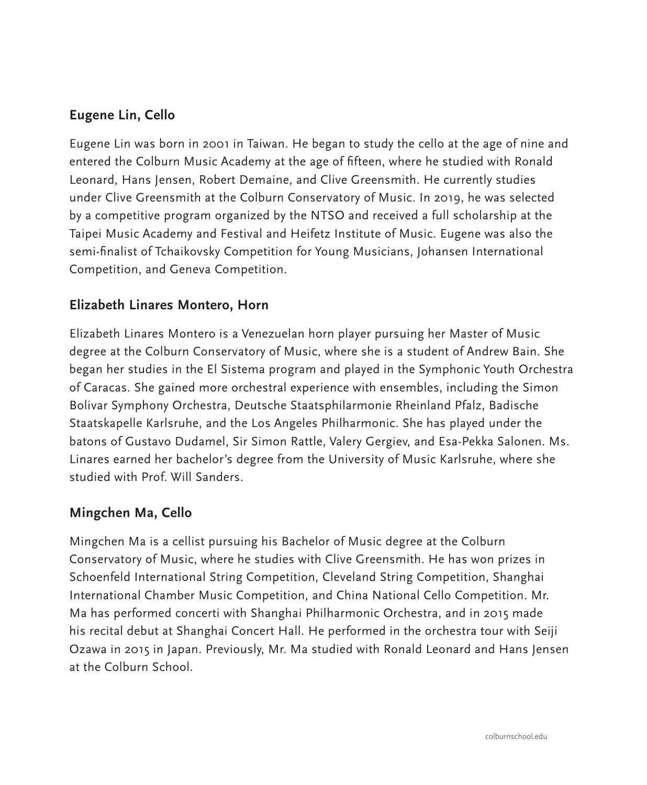#### **Eugene Lin, Cello**

Eugene Lin was born in 2001 in Taiwan. He began to study the cello at the age of nine and entered the Colburn Music Academy at the age of fifteen, where he studied with Ronald Leonard, Hans Jensen, Robert Demaine, and Clive Greensmith. He currently studies under Clive Greensmith at the Colburn Conservatory of Music. In 2019, he was selected by a competitive program organized by the NTSO and received a full scholarship at the Taipei Music Academy and Festival and Heifetz Institute of Music. Eugene was also the semi-finalist of Tchaikovsky Competition for Young Musicians, Johansen International Competition, and Geneva Competition.

#### **Elizabeth Linares Montero, Horn**

Elizabeth Linares Montero is a Venezuelan horn player pursuing her Master of Music degree at the Colburn Conservatory of Music, where she is a student of Andrew Bain. She began her studies in the El Sistema program and played in the Symphonic Youth Orchestra of Caracas. She gained more orchestral experience with ensembles, including the Simon Bolivar Symphony Orchestra, Deutsche Staatsphilarmonie Rheinland Pfalz, Badische Staatskapelle Karlsruhe, and the Los Angeles Philharmonic. She has played under the batons of Gustavo Dudamel, Sir Simon Rattle, Valery Gergiev, and Esa-Pekka Salonen. Ms. Linares earned her bachelor's degree from the University of Music Karlsruhe, where she studied with Prof. Will Sanders.

#### **Mingchen Ma, Cello**

Mingchen Ma is a cellist pursuing his Bachelor of Music degree at the Colburn Conservatory of Music, where he studies with Clive Greensmith. He has won prizes in Schoenfeld International String Competition, Cleveland String Competition, Shanghai International Chamber Music Competition, and China National Cello Competition. Mr. Ma has performed concerti with Shanghai Philharmonic Orchestra, and in 2015 made his recital debut at Shanghai Concert Hall. He performed in the orchestra tour with Seiji Ozawa in 2015 in Japan. Previously, Mr. Ma studied with Ronald Leonard and Hans Jensen at the Colburn School.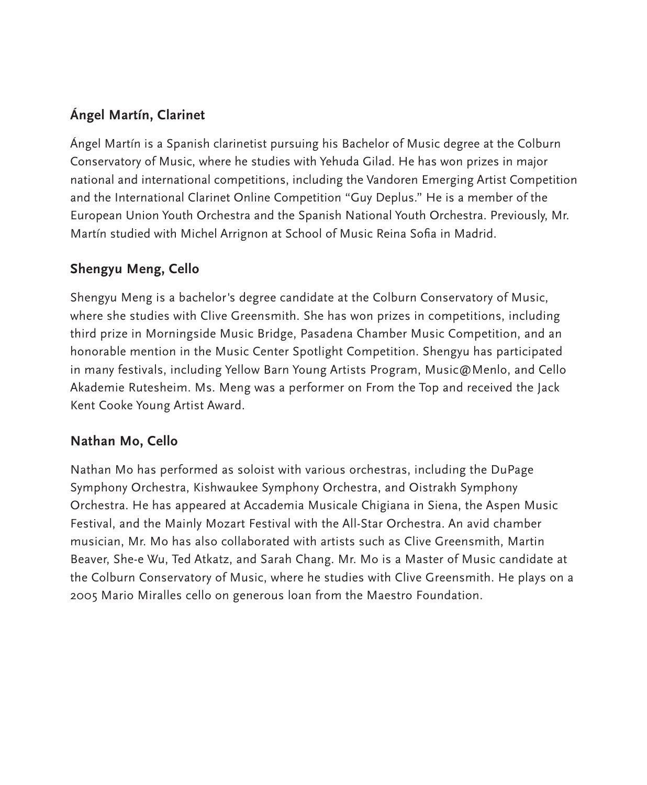## **Ángel Martín, Clarinet**

Ángel Martín is a Spanish clarinetist pursuing his Bachelor of Music degree at the Colburn Conservatory of Music, where he studies with Yehuda Gilad. He has won prizes in major national and international competitions, including the Vandoren Emerging Artist Competition and the International Clarinet Online Competition "Guy Deplus." He is a member of the European Union Youth Orchestra and the Spanish National Youth Orchestra. Previously, Mr. Martín studied with Michel Arrignon at School of Music Reina Sofia in Madrid.

#### **Shengyu Meng, Cello**

Shengyu Meng is a bachelor's degree candidate at the Colburn Conservatory of Music, where she studies with Clive Greensmith. She has won prizes in competitions, including third prize in Morningside Music Bridge, Pasadena Chamber Music Competition, and an honorable mention in the Music Center Spotlight Competition. Shengyu has participated in many festivals, including Yellow Barn Young Artists Program, Music@Menlo, and Cello Akademie Rutesheim. Ms. Meng was a performer on From the Top and received the Jack Kent Cooke Young Artist Award.

### **Nathan Mo, Cello**

Nathan Mo has performed as soloist with various orchestras, including the DuPage Symphony Orchestra, Kishwaukee Symphony Orchestra, and Oistrakh Symphony Orchestra. He has appeared at Accademia Musicale Chigiana in Siena, the Aspen Music Festival, and the Mainly Mozart Festival with the All-Star Orchestra. An avid chamber musician, Mr. Mo has also collaborated with artists such as Clive Greensmith, Martin Beaver, She-e Wu, Ted Atkatz, and Sarah Chang. Mr. Mo is a Master of Music candidate at the Colburn Conservatory of Music, where he studies with Clive Greensmith. He plays on a 2005 Mario Miralles cello on generous loan from the Maestro Foundation.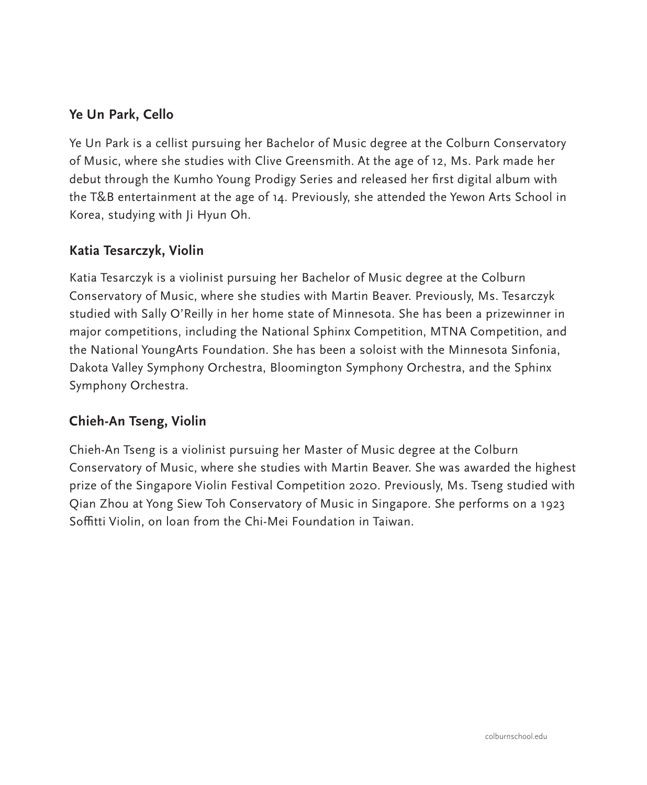### **Ye Un Park, Cello**

Ye Un Park is a cellist pursuing her Bachelor of Music degree at the Colburn Conservatory of Music, where she studies with Clive Greensmith. At the age of 12, Ms. Park made her debut through the Kumho Young Prodigy Series and released her first digital album with the T&B entertainment at the age of 14. Previously, she attended the Yewon Arts School in Korea, studying with Ji Hyun Oh.

#### **Katia Tesarczyk, Violin**

Katia Tesarczyk is a violinist pursuing her Bachelor of Music degree at the Colburn Conservatory of Music, where she studies with Martin Beaver. Previously, Ms. Tesarczyk studied with Sally O'Reilly in her home state of Minnesota. She has been a prizewinner in major competitions, including the National Sphinx Competition, MTNA Competition, and the National YoungArts Foundation. She has been a soloist with the Minnesota Sinfonia, Dakota Valley Symphony Orchestra, Bloomington Symphony Orchestra, and the Sphinx Symphony Orchestra.

### **Chieh-An Tseng, Violin**

Chieh-An Tseng is a violinist pursuing her Master of Music degree at the Colburn Conservatory of Music, where she studies with Martin Beaver. She was awarded the highest prize of the Singapore Violin Festival Competition 2020. Previously, Ms. Tseng studied with Qian Zhou at Yong Siew Toh Conservatory of Music in Singapore. She performs on a 1923 Soffitti Violin, on loan from the Chi-Mei Foundation in Taiwan.